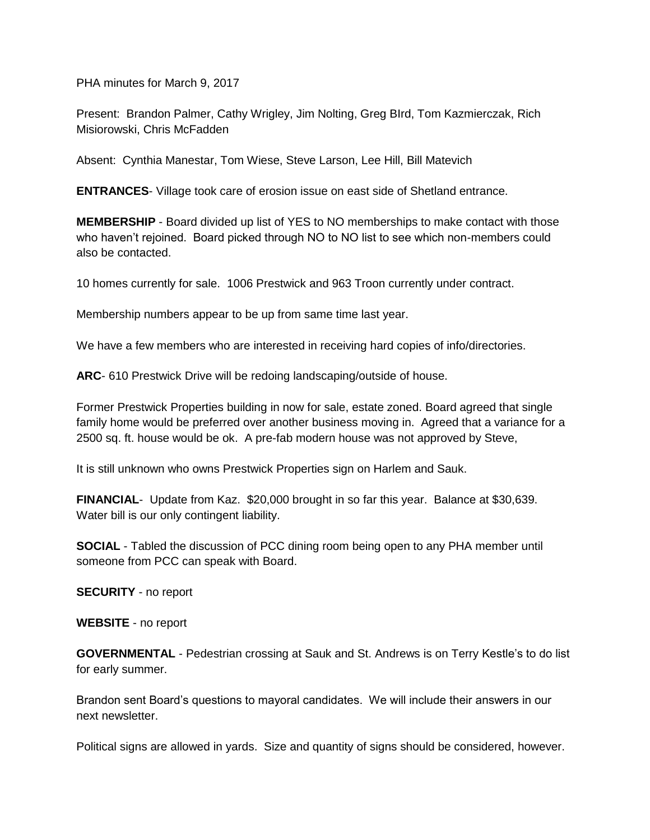PHA minutes for March 9, 2017

Present: Brandon Palmer, Cathy Wrigley, Jim Nolting, Greg BIrd, Tom Kazmierczak, Rich Misiorowski, Chris McFadden

Absent: Cynthia Manestar, Tom Wiese, Steve Larson, Lee Hill, Bill Matevich

**ENTRANCES**- Village took care of erosion issue on east side of Shetland entrance.

**MEMBERSHIP** - Board divided up list of YES to NO memberships to make contact with those who haven't rejoined. Board picked through NO to NO list to see which non-members could also be contacted.

10 homes currently for sale. 1006 Prestwick and 963 Troon currently under contract.

Membership numbers appear to be up from same time last year.

We have a few members who are interested in receiving hard copies of info/directories.

**ARC**- 610 Prestwick Drive will be redoing landscaping/outside of house.

Former Prestwick Properties building in now for sale, estate zoned. Board agreed that single family home would be preferred over another business moving in. Agreed that a variance for a 2500 sq. ft. house would be ok. A pre-fab modern house was not approved by Steve,

It is still unknown who owns Prestwick Properties sign on Harlem and Sauk.

**FINANCIAL**- Update from Kaz. \$20,000 brought in so far this year. Balance at \$30,639. Water bill is our only contingent liability.

**SOCIAL** - Tabled the discussion of PCC dining room being open to any PHA member until someone from PCC can speak with Board.

**SECURITY** - no report

**WEBSITE** - no report

**GOVERNMENTAL** - Pedestrian crossing at Sauk and St. Andrews is on Terry Kestle's to do list for early summer.

Brandon sent Board's questions to mayoral candidates. We will include their answers in our next newsletter.

Political signs are allowed in yards. Size and quantity of signs should be considered, however.